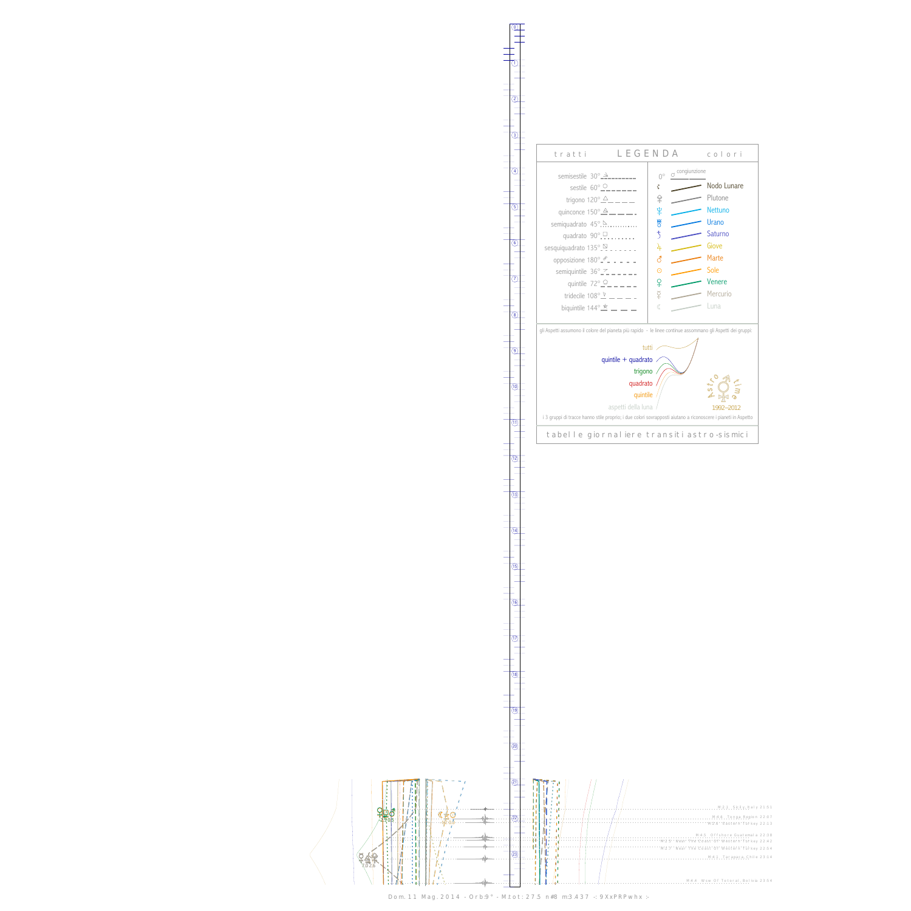